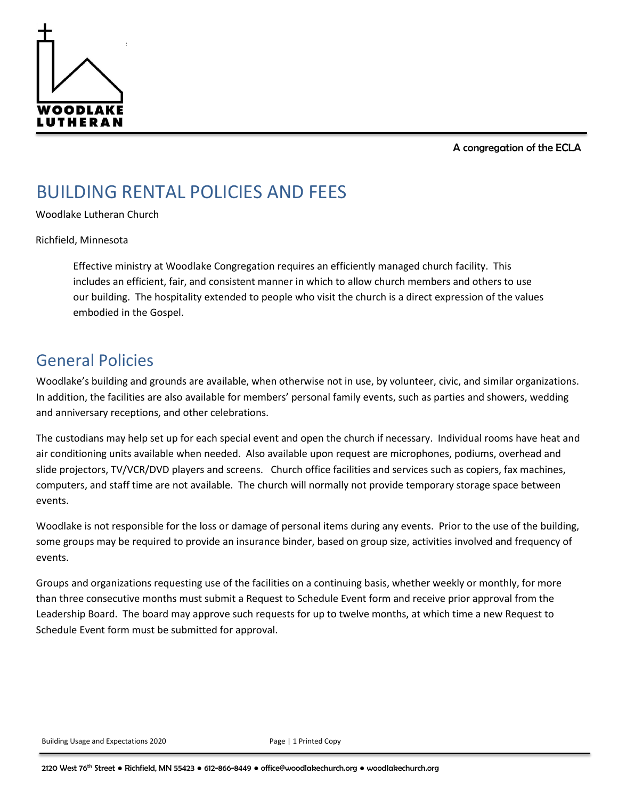A congregation of the ECLA



# BUILDING RENTAL POLICIES AND FEES

Woodlake Lutheran Church

#### Richfield, Minnesota

Effective ministry at Woodlake Congregation requires an efficiently managed church facility. This includes an efficient, fair, and consistent manner in which to allow church members and others to use our building. The hospitality extended to people who visit the church is a direct expression of the values embodied in the Gospel.

#### General Policies

Woodlake's building and grounds are available, when otherwise not in use, by volunteer, civic, and similar organizations. In addition, the facilities are also available for members' personal family events, such as parties and showers, wedding and anniversary receptions, and other celebrations.

The custodians may help set up for each special event and open the church if necessary. Individual rooms have heat and air conditioning units available when needed. Also available upon request are microphones, podiums, overhead and slide projectors, TV/VCR/DVD players and screens. Church office facilities and services such as copiers, fax machines, computers, and staff time are not available. The church will normally not provide temporary storage space between events.

Woodlake is not responsible for the loss or damage of personal items during any events. Prior to the use of the building, some groups may be required to provide an insurance binder, based on group size, activities involved and frequency of events.

Groups and organizations requesting use of the facilities on a continuing basis, whether weekly or monthly, for more than three consecutive months must submit a Request to Schedule Event form and receive prior approval from the Leadership Board. The board may approve such requests for up to twelve months, at which time a new Request to Schedule Event form must be submitted for approval.

Building Usage and Expectations 2020 **Page | 1 Printed Copy** Page | 1 Printed Copy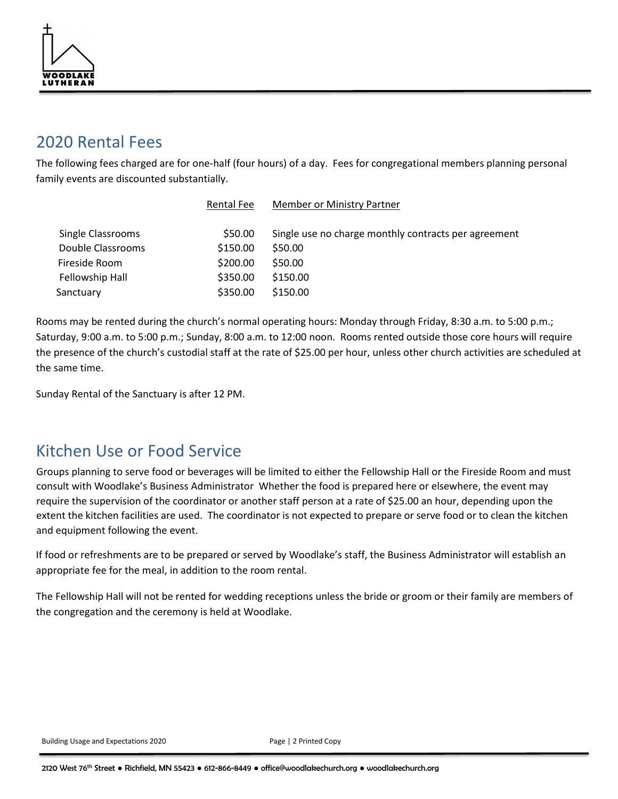

### 2020 Rental Fees

The following fees charged are for one-half (four hours) of a day. Fees for congregational members planning personal family events are discounted substantially.

| <b>Rental Fee</b> | Member or Ministry Partner                           |
|-------------------|------------------------------------------------------|
| \$50.00           | Single use no charge monthly contracts per agreement |
| \$150.00          | \$50.00                                              |
| \$200.00          | \$50.00                                              |
| \$350.00          | \$150.00                                             |
| \$350.00          | \$150.00                                             |
|                   |                                                      |

Rooms may be rented during the church's normal operating hours: Monday through Friday, 8:30 a.m. to 5:00 p.m.; Saturday, 9:00 a.m. to 5:00 p.m.; Sunday, 8:00 a.m. to 12:00 noon. Rooms rented outside those core hours will require the presence of the church's custodial staff at the rate of \$25.00 per hour, unless other church activities are scheduled at the same time.

Sunday Rental of the Sanctuary is after 12 PM.

### Kitchen Use or Food Service

Groups planning to serve food or beverages will be limited to either the Fellowship Hall or the Fireside Room and must consult with Woodlake's Business Administrator Whether the food is prepared here or elsewhere, the event may require the supervision of the coordinator or another staff person at a rate of \$25.00 an hour, depending upon the extent the kitchen facilities are used. The coordinator is not expected to prepare or serve food or to clean the kitchen and equipment following the event.

If food or refreshments are to be prepared or served by Woodlake's staff, the Business Administrator will establish an appropriate fee for the meal, in addition to the room rental.

The Fellowship Hall will not be rented for wedding receptions unless the bride or groom or their family are members of the congregation and the ceremony is held at Woodlake.

Building Usage and Expectations 2020 **Page | 2 Printed Copy** Page | 2 Printed Copy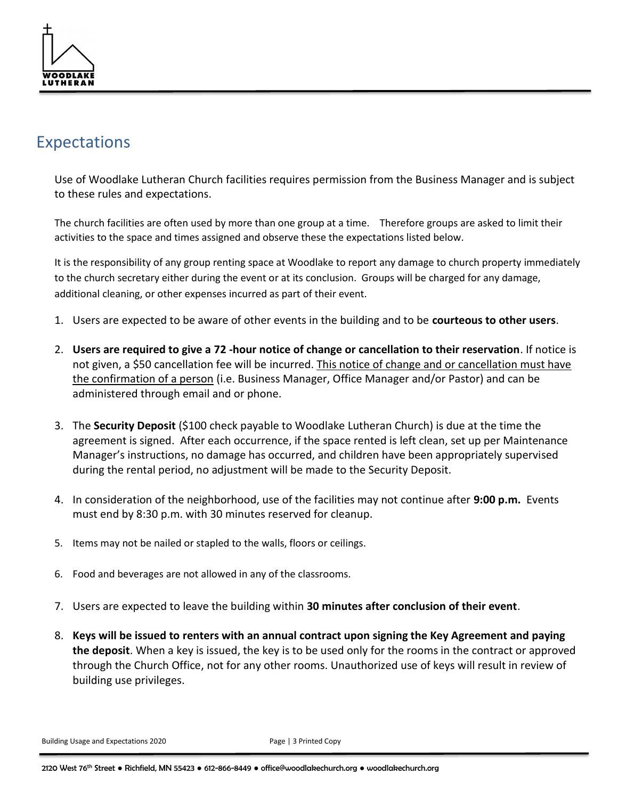

## Expectations

Use of Woodlake Lutheran Church facilities requires permission from the Business Manager and is subject to these rules and expectations.

The church facilities are often used by more than one group at a time. Therefore groups are asked to limit their activities to the space and times assigned and observe these the expectations listed below.

It is the responsibility of any group renting space at Woodlake to report any damage to church property immediately to the church secretary either during the event or at its conclusion. Groups will be charged for any damage, additional cleaning, or other expenses incurred as part of their event.

- 1. Users are expected to be aware of other events in the building and to be **courteous to other users**.
- 2. **Users are required to give a 72 -hour notice of change or cancellation to their reservation**. If notice is not given, a \$50 cancellation fee will be incurred. This notice of change and or cancellation must have the confirmation of a person (i.e. Business Manager, Office Manager and/or Pastor) and can be administered through email and or phone.
- 3. The **Security Deposit** (\$100 check payable to Woodlake Lutheran Church) is due at the time the agreement is signed. After each occurrence, if the space rented is left clean, set up per Maintenance Manager's instructions, no damage has occurred, and children have been appropriately supervised during the rental period, no adjustment will be made to the Security Deposit.
- 4. In consideration of the neighborhood, use of the facilities may not continue after **9:00 p.m.** Events must end by 8:30 p.m. with 30 minutes reserved for cleanup.
- 5. Items may not be nailed or stapled to the walls, floors or ceilings.
- 6. Food and beverages are not allowed in any of the classrooms.
- 7. Users are expected to leave the building within **30 minutes after conclusion of their event**.
- 8. **Keys will be issued to renters with an annual contract upon signing the Key Agreement and paying the deposit**. When a key is issued, the key is to be used only for the rooms in the contract or approved through the Church Office, not for any other rooms. Unauthorized use of keys will result in review of building use privileges.

Building Usage and Expectations 2020 **Page | 3 Printed Copy** Page | 3 Printed Copy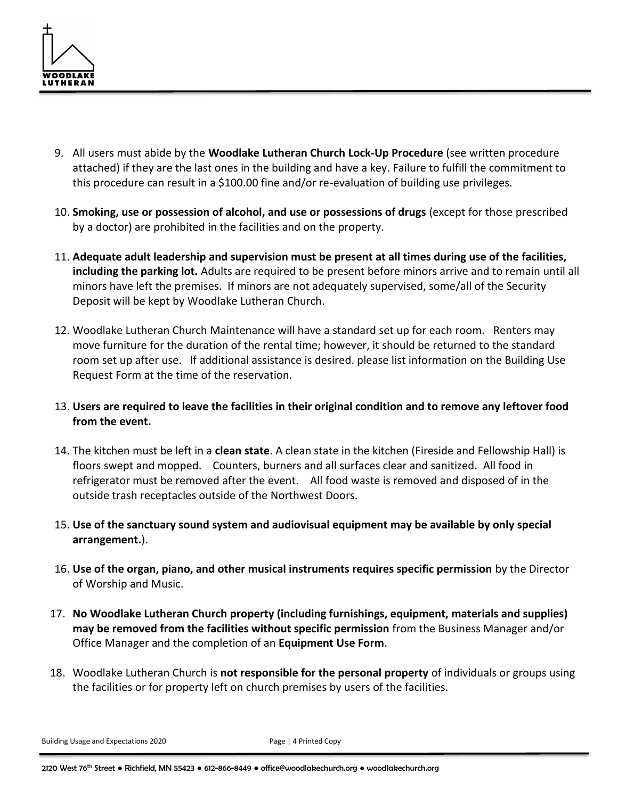

- 9. All users must abide by the **Woodlake Lutheran Church Lock-Up Procedure** (see written procedure attached) if they are the last ones in the building and have a key. Failure to fulfill the commitment to this procedure can result in a \$100.00 fine and/or re-evaluation of building use privileges.
- 10. **Smoking, use or possession of alcohol, and use or possessions of drugs** (except for those prescribed by a doctor) are prohibited in the facilities and on the property.
- 11. **Adequate adult leadership and supervision must be present at all times during use of the facilities, including the parking lot.** Adults are required to be present before minors arrive and to remain until all minors have left the premises. If minors are not adequately supervised, some/all of the Security Deposit will be kept by Woodlake Lutheran Church.
- 12. Woodlake Lutheran Church Maintenance will have a standard set up for each room. Renters may move furniture for the duration of the rental time; however, it should be returned to the standard room set up after use. If additional assistance is desired. please list information on the Building Use Request Form at the time of the reservation.
- 13. **Users are required to leave the facilities in their original condition and to remove any leftover food from the event.**
- 14. The kitchen must be left in a **clean state**. A clean state in the kitchen (Fireside and Fellowship Hall) is floors swept and mopped. Counters, burners and all surfaces clear and sanitized. All food in refrigerator must be removed after the event. All food waste is removed and disposed of in the outside trash receptacles outside of the Northwest Doors.
- 15. **Use of the sanctuary sound system and audiovisual equipment may be available by only special arrangement.**).
- 16. **Use of the organ, piano, and other musical instruments requires specific permission** by the Director of Worship and Music.
- 17. **No Woodlake Lutheran Church property (including furnishings, equipment, materials and supplies) may be removed from the facilities without specific permission** from the Business Manager and/or Office Manager and the completion of an **Equipment Use Form**.
- 18. Woodlake Lutheran Church is **not responsible for the personal property** of individuals or groups using the facilities or for property left on church premises by users of the facilities.

Building Usage and Expectations 2020 Page | 4 Printed Copy